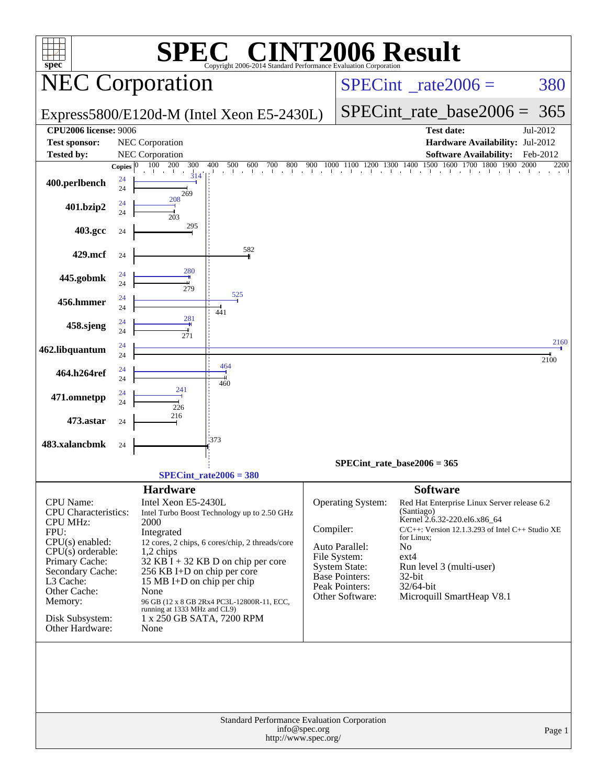| spec                                           |                    | SPE                                                               | $\blacksquare$<br>Copyright 2006-2014 Standard Performance Evaluation Corporation |                                 | <b>INT2006 Result</b>             |                            |                                                       |          |
|------------------------------------------------|--------------------|-------------------------------------------------------------------|-----------------------------------------------------------------------------------|---------------------------------|-----------------------------------|----------------------------|-------------------------------------------------------|----------|
|                                                |                    | <b>NEC Corporation</b>                                            |                                                                                   | $SPECint^{\circ}$ rate $2006 =$ |                                   |                            | 380                                                   |          |
|                                                |                    |                                                                   | Express5800/E120d-M (Intel Xeon E5-2430L)                                         |                                 |                                   | $SPECint_rate\_base2006 =$ | 365                                                   |          |
| <b>CPU2006 license: 9006</b>                   |                    |                                                                   |                                                                                   |                                 |                                   |                            | <b>Test date:</b>                                     | Jul-2012 |
| <b>Test sponsor:</b>                           |                    | <b>NEC</b> Corporation                                            |                                                                                   |                                 |                                   |                            | Hardware Availability: Jul-2012                       |          |
| <b>Tested by:</b>                              |                    | <b>NEC Corporation</b>                                            |                                                                                   |                                 |                                   |                            | <b>Software Availability:</b>                         | Feb-2012 |
|                                                | Copies $ 0\rangle$ | 100 200<br>300                                                    | 500<br>400                                                                        |                                 |                                   |                            |                                                       | 2200     |
| 400.perlbench                                  | 24<br>24           | $\frac{1}{3}$ 14<br>269                                           |                                                                                   |                                 |                                   |                            |                                                       |          |
| 401.bzip2                                      | 24<br>24           | 208<br>203                                                        |                                                                                   |                                 |                                   |                            |                                                       |          |
| 403.gcc                                        | 24                 | 295                                                               |                                                                                   |                                 |                                   |                            |                                                       |          |
| 429.mcf                                        | 24                 |                                                                   | 582                                                                               |                                 |                                   |                            |                                                       |          |
| 445.gobmk                                      | 24<br>24           | 280<br>279                                                        |                                                                                   |                                 |                                   |                            |                                                       |          |
| 456.hmmer                                      | 24<br>24           |                                                                   | 525<br>441                                                                        |                                 |                                   |                            |                                                       |          |
| 458.sjeng                                      | 24<br>24           | 281<br>271                                                        |                                                                                   |                                 |                                   |                            |                                                       | 2160     |
| 462.libquantum                                 | 24<br>24           |                                                                   | 464                                                                               |                                 |                                   |                            |                                                       | 2100     |
| 464.h264ref                                    | 24<br>24           | 241                                                               | 460                                                                               |                                 |                                   |                            |                                                       |          |
| 471.omnetpp                                    | 24<br>24           | 226<br>216                                                        |                                                                                   |                                 |                                   |                            |                                                       |          |
| 473.astar                                      | 24                 |                                                                   | 1373                                                                              |                                 |                                   |                            |                                                       |          |
| 483.xalancbmk                                  | 24                 |                                                                   |                                                                                   |                                 |                                   |                            |                                                       |          |
|                                                |                    |                                                                   |                                                                                   |                                 | $SPECint_rate_base2006 = 365$     |                            |                                                       |          |
|                                                |                    |                                                                   | $SPECint_rate2006 = 380$                                                          |                                 |                                   |                            |                                                       |          |
|                                                |                    |                                                                   |                                                                                   |                                 |                                   |                            |                                                       |          |
| CPU Name:                                      |                    | <b>Hardware</b><br>Intel Xeon E5-2430L                            |                                                                                   |                                 | Operating System:                 | <b>Software</b>            | Red Hat Enterprise Linux Server release 6.2           |          |
| <b>CPU</b> Characteristics:<br><b>CPU MHz:</b> |                    | 2000                                                              | Intel Turbo Boost Technology up to 2.50 GHz                                       |                                 |                                   | (Santiago)                 | Kernel 2.6.32-220.el6.x86_64                          |          |
| FPU:                                           |                    | Integrated                                                        |                                                                                   | Compiler:                       |                                   |                            | $C/C++$ : Version 12.1.3.293 of Intel $C++$ Studio XE |          |
| $CPU(s)$ enabled:                              |                    |                                                                   | 12 cores, 2 chips, 6 cores/chip, 2 threads/core                                   |                                 | Auto Parallel:                    | for Linux;                 |                                                       |          |
| $CPU(s)$ orderable:                            |                    | $1,2$ chips                                                       |                                                                                   |                                 | File System:                      | N <sub>o</sub><br>$ext{4}$ |                                                       |          |
| Primary Cache:<br>Secondary Cache:             |                    |                                                                   | $32$ KB $\tilde{I}$ + 32 KB D on chip per core                                    |                                 | System State:                     |                            | Run level 3 (multi-user)                              |          |
| L3 Cache:                                      |                    | 256 KB I+D on chip per core<br>15 MB I+D on chip per chip         |                                                                                   |                                 | Base Pointers:                    | $32$ -bit                  |                                                       |          |
| Other Cache:                                   |                    | None                                                              |                                                                                   |                                 | Peak Pointers:<br>Other Software: | $32/64$ -bit               | Microquill SmartHeap V8.1                             |          |
| Memory:                                        |                    |                                                                   | 96 GB (12 x 8 GB 2Rx4 PC3L-12800R-11, ECC,                                        |                                 |                                   |                            |                                                       |          |
| Disk Subsystem:<br>Other Hardware:             |                    | running at 1333 MHz and CL9)<br>1 x 250 GB SATA, 7200 RPM<br>None |                                                                                   |                                 |                                   |                            |                                                       |          |
|                                                |                    |                                                                   |                                                                                   |                                 |                                   |                            |                                                       |          |
|                                                |                    |                                                                   |                                                                                   |                                 |                                   |                            |                                                       |          |
|                                                |                    |                                                                   | Standard Performance Evaluation Corporation                                       |                                 |                                   |                            |                                                       |          |
|                                                |                    |                                                                   | http://www.spec.org/                                                              | info@spec.org                   |                                   |                            |                                                       | Page 1   |
|                                                |                    |                                                                   |                                                                                   |                                 |                                   |                            |                                                       |          |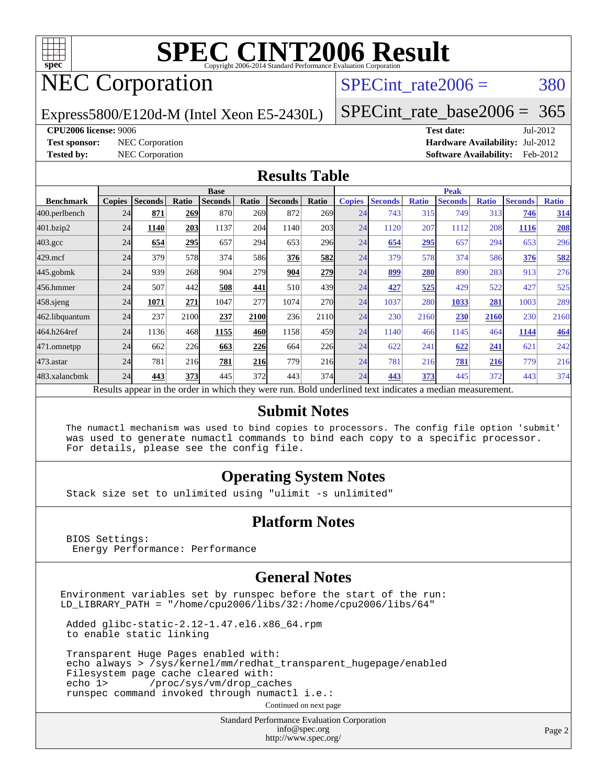

## NEC Corporation

SPECint rate $2006 = 380$ 

#### Express5800/E120d-M (Intel Xeon E5-2430L) [SPECint\\_rate\\_base2006 =](http://www.spec.org/auto/cpu2006/Docs/result-fields.html#SPECintratebase2006) 365

**[CPU2006 license:](http://www.spec.org/auto/cpu2006/Docs/result-fields.html#CPU2006license)** 9006 **[Test date:](http://www.spec.org/auto/cpu2006/Docs/result-fields.html#Testdate)** Jul-2012 **[Test sponsor:](http://www.spec.org/auto/cpu2006/Docs/result-fields.html#Testsponsor)** NEC Corporation **[Hardware Availability:](http://www.spec.org/auto/cpu2006/Docs/result-fields.html#HardwareAvailability)** Jul-2012 **[Tested by:](http://www.spec.org/auto/cpu2006/Docs/result-fields.html#Testedby)** NEC Corporation **[Software Availability:](http://www.spec.org/auto/cpu2006/Docs/result-fields.html#SoftwareAvailability)** Feb-2012

#### **[Results Table](http://www.spec.org/auto/cpu2006/Docs/result-fields.html#ResultsTable)**

|                                                                                                          | <b>Base</b>   |                |       |                |       |                |                  | <b>Peak</b>   |                |              |                |              |                |              |
|----------------------------------------------------------------------------------------------------------|---------------|----------------|-------|----------------|-------|----------------|------------------|---------------|----------------|--------------|----------------|--------------|----------------|--------------|
| <b>Benchmark</b>                                                                                         | <b>Copies</b> | <b>Seconds</b> | Ratio | <b>Seconds</b> | Ratio | <b>Seconds</b> | Ratio            | <b>Copies</b> | <b>Seconds</b> | <b>Ratio</b> | <b>Seconds</b> | <b>Ratio</b> | <b>Seconds</b> | <b>Ratio</b> |
| 400.perlbench                                                                                            | 24            | 871            | 269   | 870            | 269   | 872            | 269 <sub>1</sub> | 24            | 743            | 315          | 749            | 313          | 746            | 314          |
| 401.bzip2                                                                                                | 24            | 1140           | 203   | 1137           | 204   | 1140           | 203              | 24            | 1120           | 207          | 1112           | 208          | 1116           | 208          |
| $403.\mathrm{gcc}$                                                                                       | 24            | 654            | 295   | 657            | 294   | 653            | 296              | 24            | 654            | 295          | 657            | 294          | 653            | 296          |
| $429$ .mcf                                                                                               | 24            | 379            | 578   | 374            | 586   | 376            | 582              | 24            | 379            | 578          | 374            | 586          | 376            | 582          |
| $445$ .gobmk                                                                                             | 24            | 939            | 268   | 904            | 279   | 904            | 279              | 24            | 899            | 280          | 890            | 283          | 913            | 276          |
| 456.hmmer                                                                                                | 24            | 507            | 442   | 508            | 441   | 510            | 439              | 24            | 427            | 525          | 429            | 522          | 427            | 525          |
| $458$ .sjeng                                                                                             | 24            | 1071           | 271   | 1047           | 277   | 1074           | <b>270</b>       | 24            | 1037           | 280          | 1033           | 281          | 1003           | 289          |
| 462.libquantum                                                                                           | 24            | 237            | 2100  | 237            | 2100  | 236            | 2110             | 24            | 230            | 2160         | 230            | 2160         | 230            | 2160         |
| 464.h264ref                                                                                              | 24            | 1136           | 468   | 1155           | 460   | 1158           | 459              | 24            | 1140           | 466          | 1145           | 464          | 1144           | <b>464</b>   |
| 471.omnetpp                                                                                              | 24            | 662            | 226   | 663            | 226   | 664            | 226              | 24            | 622            | 241          | 622            | 241          | 621            | 242          |
| 473.astar                                                                                                | 24            | 781            | 216   | 781            | 216   | 779            | 216              | 24            | 781            | 216          | 781            | 216          | 779            | 216          |
| 483.xalancbmk                                                                                            | 24            | 443            | 373   | 445            | 372   | 443            | 374              | 24            | 443            | 373          | 445            | 372          | 443            | 374          |
| Results appear in the order in which they were run. Bold underlined text indicates a median measurement. |               |                |       |                |       |                |                  |               |                |              |                |              |                |              |

#### **[Submit Notes](http://www.spec.org/auto/cpu2006/Docs/result-fields.html#SubmitNotes)**

 The numactl mechanism was used to bind copies to processors. The config file option 'submit' was used to generate numactl commands to bind each copy to a specific processor. For details, please see the config file.

#### **[Operating System Notes](http://www.spec.org/auto/cpu2006/Docs/result-fields.html#OperatingSystemNotes)**

Stack size set to unlimited using "ulimit -s unlimited"

#### **[Platform Notes](http://www.spec.org/auto/cpu2006/Docs/result-fields.html#PlatformNotes)**

 BIOS Settings: Energy Performance: Performance

#### **[General Notes](http://www.spec.org/auto/cpu2006/Docs/result-fields.html#GeneralNotes)**

Environment variables set by runspec before the start of the run: LD\_LIBRARY\_PATH = "/home/cpu2006/libs/32:/home/cpu2006/libs/64"

 Added glibc-static-2.12-1.47.el6.x86\_64.rpm to enable static linking

 Transparent Huge Pages enabled with: echo always > /sys/kernel/mm/redhat\_transparent\_hugepage/enabled Filesystem page cache cleared with: echo 1> /proc/sys/vm/drop\_caches runspec command invoked through numactl i.e.:

Continued on next page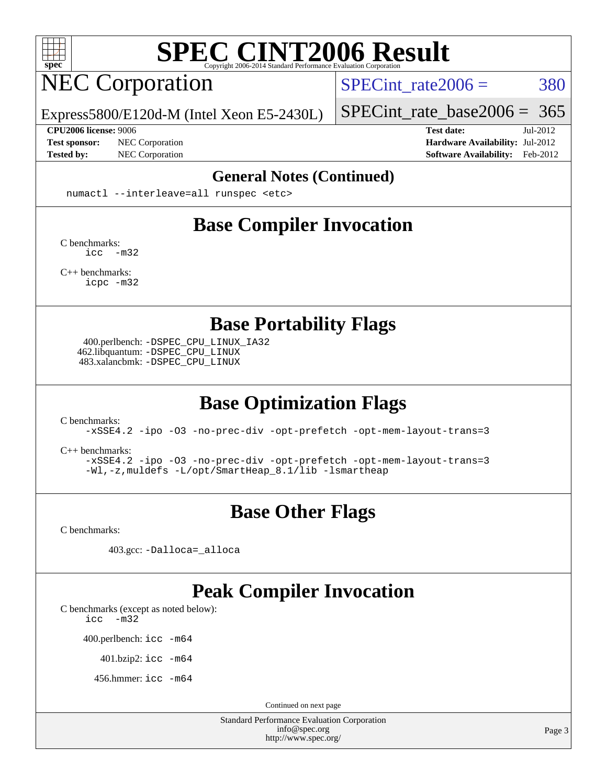

## NEC Corporation

SPECint rate $2006 = 380$ 

[SPECint\\_rate\\_base2006 =](http://www.spec.org/auto/cpu2006/Docs/result-fields.html#SPECintratebase2006) 365

Express5800/E120d-M (Intel Xeon E5-2430L)

**[CPU2006 license:](http://www.spec.org/auto/cpu2006/Docs/result-fields.html#CPU2006license)** 9006 **[Test date:](http://www.spec.org/auto/cpu2006/Docs/result-fields.html#Testdate)** Jul-2012 **[Test sponsor:](http://www.spec.org/auto/cpu2006/Docs/result-fields.html#Testsponsor)** NEC Corporation **[Hardware Availability:](http://www.spec.org/auto/cpu2006/Docs/result-fields.html#HardwareAvailability)** Jul-2012 **[Tested by:](http://www.spec.org/auto/cpu2006/Docs/result-fields.html#Testedby)** NEC Corporation **[Software Availability:](http://www.spec.org/auto/cpu2006/Docs/result-fields.html#SoftwareAvailability)** Feb-2012

#### **[General Notes \(Continued\)](http://www.spec.org/auto/cpu2006/Docs/result-fields.html#GeneralNotes)**

numactl --interleave=all runspec <etc>

#### **[Base Compiler Invocation](http://www.spec.org/auto/cpu2006/Docs/result-fields.html#BaseCompilerInvocation)**

[C benchmarks](http://www.spec.org/auto/cpu2006/Docs/result-fields.html#Cbenchmarks): [icc -m32](http://www.spec.org/cpu2006/results/res2012q3/cpu2006-20120802-24011.flags.html#user_CCbase_intel_icc_5ff4a39e364c98233615fdd38438c6f2)

[C++ benchmarks:](http://www.spec.org/auto/cpu2006/Docs/result-fields.html#CXXbenchmarks) [icpc -m32](http://www.spec.org/cpu2006/results/res2012q3/cpu2006-20120802-24011.flags.html#user_CXXbase_intel_icpc_4e5a5ef1a53fd332b3c49e69c3330699)

**[Base Portability Flags](http://www.spec.org/auto/cpu2006/Docs/result-fields.html#BasePortabilityFlags)**

 400.perlbench: [-DSPEC\\_CPU\\_LINUX\\_IA32](http://www.spec.org/cpu2006/results/res2012q3/cpu2006-20120802-24011.flags.html#b400.perlbench_baseCPORTABILITY_DSPEC_CPU_LINUX_IA32) 462.libquantum: [-DSPEC\\_CPU\\_LINUX](http://www.spec.org/cpu2006/results/res2012q3/cpu2006-20120802-24011.flags.html#b462.libquantum_baseCPORTABILITY_DSPEC_CPU_LINUX) 483.xalancbmk: [-DSPEC\\_CPU\\_LINUX](http://www.spec.org/cpu2006/results/res2012q3/cpu2006-20120802-24011.flags.html#b483.xalancbmk_baseCXXPORTABILITY_DSPEC_CPU_LINUX)

### **[Base Optimization Flags](http://www.spec.org/auto/cpu2006/Docs/result-fields.html#BaseOptimizationFlags)**

[C benchmarks](http://www.spec.org/auto/cpu2006/Docs/result-fields.html#Cbenchmarks):

[-xSSE4.2](http://www.spec.org/cpu2006/results/res2012q3/cpu2006-20120802-24011.flags.html#user_CCbase_f-xSSE42_f91528193cf0b216347adb8b939d4107) [-ipo](http://www.spec.org/cpu2006/results/res2012q3/cpu2006-20120802-24011.flags.html#user_CCbase_f-ipo) [-O3](http://www.spec.org/cpu2006/results/res2012q3/cpu2006-20120802-24011.flags.html#user_CCbase_f-O3) [-no-prec-div](http://www.spec.org/cpu2006/results/res2012q3/cpu2006-20120802-24011.flags.html#user_CCbase_f-no-prec-div) [-opt-prefetch](http://www.spec.org/cpu2006/results/res2012q3/cpu2006-20120802-24011.flags.html#user_CCbase_f-opt-prefetch) [-opt-mem-layout-trans=3](http://www.spec.org/cpu2006/results/res2012q3/cpu2006-20120802-24011.flags.html#user_CCbase_f-opt-mem-layout-trans_a7b82ad4bd7abf52556d4961a2ae94d5)

[C++ benchmarks:](http://www.spec.org/auto/cpu2006/Docs/result-fields.html#CXXbenchmarks)

[-xSSE4.2](http://www.spec.org/cpu2006/results/res2012q3/cpu2006-20120802-24011.flags.html#user_CXXbase_f-xSSE42_f91528193cf0b216347adb8b939d4107) [-ipo](http://www.spec.org/cpu2006/results/res2012q3/cpu2006-20120802-24011.flags.html#user_CXXbase_f-ipo) [-O3](http://www.spec.org/cpu2006/results/res2012q3/cpu2006-20120802-24011.flags.html#user_CXXbase_f-O3) [-no-prec-div](http://www.spec.org/cpu2006/results/res2012q3/cpu2006-20120802-24011.flags.html#user_CXXbase_f-no-prec-div) [-opt-prefetch](http://www.spec.org/cpu2006/results/res2012q3/cpu2006-20120802-24011.flags.html#user_CXXbase_f-opt-prefetch) [-opt-mem-layout-trans=3](http://www.spec.org/cpu2006/results/res2012q3/cpu2006-20120802-24011.flags.html#user_CXXbase_f-opt-mem-layout-trans_a7b82ad4bd7abf52556d4961a2ae94d5) [-Wl,-z,muldefs](http://www.spec.org/cpu2006/results/res2012q3/cpu2006-20120802-24011.flags.html#user_CXXbase_link_force_multiple1_74079c344b956b9658436fd1b6dd3a8a) [-L/opt/SmartHeap\\_8.1/lib -lsmartheap](http://www.spec.org/cpu2006/results/res2012q3/cpu2006-20120802-24011.flags.html#user_CXXbase_SmartHeap_d5ba4dfc9de25d3c657c7de7476e66c5)

### **[Base Other Flags](http://www.spec.org/auto/cpu2006/Docs/result-fields.html#BaseOtherFlags)**

[C benchmarks](http://www.spec.org/auto/cpu2006/Docs/result-fields.html#Cbenchmarks):

403.gcc: [-Dalloca=\\_alloca](http://www.spec.org/cpu2006/results/res2012q3/cpu2006-20120802-24011.flags.html#b403.gcc_baseEXTRA_CFLAGS_Dalloca_be3056838c12de2578596ca5467af7f3)

#### **[Peak Compiler Invocation](http://www.spec.org/auto/cpu2006/Docs/result-fields.html#PeakCompilerInvocation)**

[C benchmarks \(except as noted below\)](http://www.spec.org/auto/cpu2006/Docs/result-fields.html#Cbenchmarksexceptasnotedbelow):

[icc -m32](http://www.spec.org/cpu2006/results/res2012q3/cpu2006-20120802-24011.flags.html#user_CCpeak_intel_icc_5ff4a39e364c98233615fdd38438c6f2)

400.perlbench: [icc -m64](http://www.spec.org/cpu2006/results/res2012q3/cpu2006-20120802-24011.flags.html#user_peakCCLD400_perlbench_intel_icc_64bit_bda6cc9af1fdbb0edc3795bac97ada53)

401.bzip2: [icc -m64](http://www.spec.org/cpu2006/results/res2012q3/cpu2006-20120802-24011.flags.html#user_peakCCLD401_bzip2_intel_icc_64bit_bda6cc9af1fdbb0edc3795bac97ada53)

456.hmmer: [icc -m64](http://www.spec.org/cpu2006/results/res2012q3/cpu2006-20120802-24011.flags.html#user_peakCCLD456_hmmer_intel_icc_64bit_bda6cc9af1fdbb0edc3795bac97ada53)

Continued on next page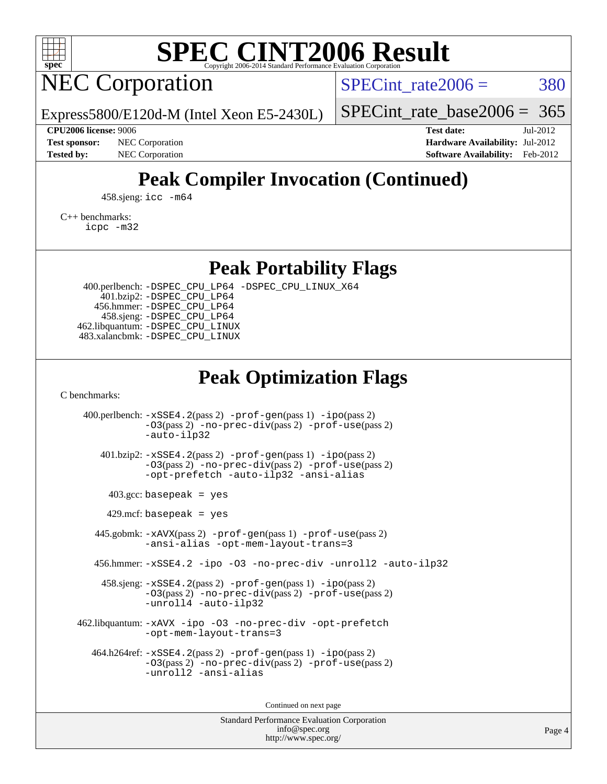

## NEC Corporation

SPECint rate $2006 = 380$ 

Express5800/E120d-M (Intel Xeon E5-2430L)

[SPECint\\_rate\\_base2006 =](http://www.spec.org/auto/cpu2006/Docs/result-fields.html#SPECintratebase2006) 365

**[CPU2006 license:](http://www.spec.org/auto/cpu2006/Docs/result-fields.html#CPU2006license)** 9006 **[Test date:](http://www.spec.org/auto/cpu2006/Docs/result-fields.html#Testdate)** Jul-2012 **[Test sponsor:](http://www.spec.org/auto/cpu2006/Docs/result-fields.html#Testsponsor)** NEC Corporation **[Hardware Availability:](http://www.spec.org/auto/cpu2006/Docs/result-fields.html#HardwareAvailability)** Jul-2012 **[Tested by:](http://www.spec.org/auto/cpu2006/Docs/result-fields.html#Testedby)** NEC Corporation **[Software Availability:](http://www.spec.org/auto/cpu2006/Docs/result-fields.html#SoftwareAvailability)** Feb-2012

### **[Peak Compiler Invocation \(Continued\)](http://www.spec.org/auto/cpu2006/Docs/result-fields.html#PeakCompilerInvocation)**

458.sjeng: [icc -m64](http://www.spec.org/cpu2006/results/res2012q3/cpu2006-20120802-24011.flags.html#user_peakCCLD458_sjeng_intel_icc_64bit_bda6cc9af1fdbb0edc3795bac97ada53)

[C++ benchmarks:](http://www.spec.org/auto/cpu2006/Docs/result-fields.html#CXXbenchmarks)

[icpc -m32](http://www.spec.org/cpu2006/results/res2012q3/cpu2006-20120802-24011.flags.html#user_CXXpeak_intel_icpc_4e5a5ef1a53fd332b3c49e69c3330699)

**[Peak Portability Flags](http://www.spec.org/auto/cpu2006/Docs/result-fields.html#PeakPortabilityFlags)**

 400.perlbench: [-DSPEC\\_CPU\\_LP64](http://www.spec.org/cpu2006/results/res2012q3/cpu2006-20120802-24011.flags.html#b400.perlbench_peakCPORTABILITY_DSPEC_CPU_LP64) [-DSPEC\\_CPU\\_LINUX\\_X64](http://www.spec.org/cpu2006/results/res2012q3/cpu2006-20120802-24011.flags.html#b400.perlbench_peakCPORTABILITY_DSPEC_CPU_LINUX_X64) 401.bzip2: [-DSPEC\\_CPU\\_LP64](http://www.spec.org/cpu2006/results/res2012q3/cpu2006-20120802-24011.flags.html#suite_peakCPORTABILITY401_bzip2_DSPEC_CPU_LP64) 456.hmmer: [-DSPEC\\_CPU\\_LP64](http://www.spec.org/cpu2006/results/res2012q3/cpu2006-20120802-24011.flags.html#suite_peakCPORTABILITY456_hmmer_DSPEC_CPU_LP64) 458.sjeng: [-DSPEC\\_CPU\\_LP64](http://www.spec.org/cpu2006/results/res2012q3/cpu2006-20120802-24011.flags.html#suite_peakCPORTABILITY458_sjeng_DSPEC_CPU_LP64) 462.libquantum: [-DSPEC\\_CPU\\_LINUX](http://www.spec.org/cpu2006/results/res2012q3/cpu2006-20120802-24011.flags.html#b462.libquantum_peakCPORTABILITY_DSPEC_CPU_LINUX) 483.xalancbmk: [-DSPEC\\_CPU\\_LINUX](http://www.spec.org/cpu2006/results/res2012q3/cpu2006-20120802-24011.flags.html#b483.xalancbmk_peakCXXPORTABILITY_DSPEC_CPU_LINUX)

### **[Peak Optimization Flags](http://www.spec.org/auto/cpu2006/Docs/result-fields.html#PeakOptimizationFlags)**

[C benchmarks](http://www.spec.org/auto/cpu2006/Docs/result-fields.html#Cbenchmarks):

 400.perlbench: [-xSSE4.2](http://www.spec.org/cpu2006/results/res2012q3/cpu2006-20120802-24011.flags.html#user_peakPASS2_CFLAGSPASS2_LDCFLAGS400_perlbench_f-xSSE42_f91528193cf0b216347adb8b939d4107)(pass 2) [-prof-gen](http://www.spec.org/cpu2006/results/res2012q3/cpu2006-20120802-24011.flags.html#user_peakPASS1_CFLAGSPASS1_LDCFLAGS400_perlbench_prof_gen_e43856698f6ca7b7e442dfd80e94a8fc)(pass 1) [-ipo](http://www.spec.org/cpu2006/results/res2012q3/cpu2006-20120802-24011.flags.html#user_peakPASS2_CFLAGSPASS2_LDCFLAGS400_perlbench_f-ipo)(pass 2) [-O3](http://www.spec.org/cpu2006/results/res2012q3/cpu2006-20120802-24011.flags.html#user_peakPASS2_CFLAGSPASS2_LDCFLAGS400_perlbench_f-O3)(pass 2) [-no-prec-div](http://www.spec.org/cpu2006/results/res2012q3/cpu2006-20120802-24011.flags.html#user_peakPASS2_CFLAGSPASS2_LDCFLAGS400_perlbench_f-no-prec-div)(pass 2) [-prof-use](http://www.spec.org/cpu2006/results/res2012q3/cpu2006-20120802-24011.flags.html#user_peakPASS2_CFLAGSPASS2_LDCFLAGS400_perlbench_prof_use_bccf7792157ff70d64e32fe3e1250b55)(pass 2) [-auto-ilp32](http://www.spec.org/cpu2006/results/res2012q3/cpu2006-20120802-24011.flags.html#user_peakCOPTIMIZE400_perlbench_f-auto-ilp32) 401.bzip2: [-xSSE4.2](http://www.spec.org/cpu2006/results/res2012q3/cpu2006-20120802-24011.flags.html#user_peakPASS2_CFLAGSPASS2_LDCFLAGS401_bzip2_f-xSSE42_f91528193cf0b216347adb8b939d4107)(pass 2) [-prof-gen](http://www.spec.org/cpu2006/results/res2012q3/cpu2006-20120802-24011.flags.html#user_peakPASS1_CFLAGSPASS1_LDCFLAGS401_bzip2_prof_gen_e43856698f6ca7b7e442dfd80e94a8fc)(pass 1) [-ipo](http://www.spec.org/cpu2006/results/res2012q3/cpu2006-20120802-24011.flags.html#user_peakPASS2_CFLAGSPASS2_LDCFLAGS401_bzip2_f-ipo)(pass 2) [-O3](http://www.spec.org/cpu2006/results/res2012q3/cpu2006-20120802-24011.flags.html#user_peakPASS2_CFLAGSPASS2_LDCFLAGS401_bzip2_f-O3)(pass 2) [-no-prec-div](http://www.spec.org/cpu2006/results/res2012q3/cpu2006-20120802-24011.flags.html#user_peakPASS2_CFLAGSPASS2_LDCFLAGS401_bzip2_f-no-prec-div)(pass 2) [-prof-use](http://www.spec.org/cpu2006/results/res2012q3/cpu2006-20120802-24011.flags.html#user_peakPASS2_CFLAGSPASS2_LDCFLAGS401_bzip2_prof_use_bccf7792157ff70d64e32fe3e1250b55)(pass 2) [-opt-prefetch](http://www.spec.org/cpu2006/results/res2012q3/cpu2006-20120802-24011.flags.html#user_peakCOPTIMIZE401_bzip2_f-opt-prefetch) [-auto-ilp32](http://www.spec.org/cpu2006/results/res2012q3/cpu2006-20120802-24011.flags.html#user_peakCOPTIMIZE401_bzip2_f-auto-ilp32) [-ansi-alias](http://www.spec.org/cpu2006/results/res2012q3/cpu2006-20120802-24011.flags.html#user_peakCOPTIMIZE401_bzip2_f-ansi-alias)  $403.\text{gcc: basepeak}$  = yes  $429$ .mcf: basepeak = yes 445.gobmk: [-xAVX](http://www.spec.org/cpu2006/results/res2012q3/cpu2006-20120802-24011.flags.html#user_peakPASS2_CFLAGSPASS2_LDCFLAGS445_gobmk_f-xAVX)(pass 2) [-prof-gen](http://www.spec.org/cpu2006/results/res2012q3/cpu2006-20120802-24011.flags.html#user_peakPASS1_CFLAGSPASS1_LDCFLAGS445_gobmk_prof_gen_e43856698f6ca7b7e442dfd80e94a8fc)(pass 1) [-prof-use](http://www.spec.org/cpu2006/results/res2012q3/cpu2006-20120802-24011.flags.html#user_peakPASS2_CFLAGSPASS2_LDCFLAGS445_gobmk_prof_use_bccf7792157ff70d64e32fe3e1250b55)(pass 2) [-ansi-alias](http://www.spec.org/cpu2006/results/res2012q3/cpu2006-20120802-24011.flags.html#user_peakCOPTIMIZE445_gobmk_f-ansi-alias) [-opt-mem-layout-trans=3](http://www.spec.org/cpu2006/results/res2012q3/cpu2006-20120802-24011.flags.html#user_peakCOPTIMIZE445_gobmk_f-opt-mem-layout-trans_a7b82ad4bd7abf52556d4961a2ae94d5) 456.hmmer: [-xSSE4.2](http://www.spec.org/cpu2006/results/res2012q3/cpu2006-20120802-24011.flags.html#user_peakCOPTIMIZE456_hmmer_f-xSSE42_f91528193cf0b216347adb8b939d4107) [-ipo](http://www.spec.org/cpu2006/results/res2012q3/cpu2006-20120802-24011.flags.html#user_peakCOPTIMIZE456_hmmer_f-ipo) [-O3](http://www.spec.org/cpu2006/results/res2012q3/cpu2006-20120802-24011.flags.html#user_peakCOPTIMIZE456_hmmer_f-O3) [-no-prec-div](http://www.spec.org/cpu2006/results/res2012q3/cpu2006-20120802-24011.flags.html#user_peakCOPTIMIZE456_hmmer_f-no-prec-div) [-unroll2](http://www.spec.org/cpu2006/results/res2012q3/cpu2006-20120802-24011.flags.html#user_peakCOPTIMIZE456_hmmer_f-unroll_784dae83bebfb236979b41d2422d7ec2) [-auto-ilp32](http://www.spec.org/cpu2006/results/res2012q3/cpu2006-20120802-24011.flags.html#user_peakCOPTIMIZE456_hmmer_f-auto-ilp32) 458.sjeng: [-xSSE4.2](http://www.spec.org/cpu2006/results/res2012q3/cpu2006-20120802-24011.flags.html#user_peakPASS2_CFLAGSPASS2_LDCFLAGS458_sjeng_f-xSSE42_f91528193cf0b216347adb8b939d4107)(pass 2) [-prof-gen](http://www.spec.org/cpu2006/results/res2012q3/cpu2006-20120802-24011.flags.html#user_peakPASS1_CFLAGSPASS1_LDCFLAGS458_sjeng_prof_gen_e43856698f6ca7b7e442dfd80e94a8fc)(pass 1) [-ipo](http://www.spec.org/cpu2006/results/res2012q3/cpu2006-20120802-24011.flags.html#user_peakPASS2_CFLAGSPASS2_LDCFLAGS458_sjeng_f-ipo)(pass 2) [-O3](http://www.spec.org/cpu2006/results/res2012q3/cpu2006-20120802-24011.flags.html#user_peakPASS2_CFLAGSPASS2_LDCFLAGS458_sjeng_f-O3)(pass 2) [-no-prec-div](http://www.spec.org/cpu2006/results/res2012q3/cpu2006-20120802-24011.flags.html#user_peakPASS2_CFLAGSPASS2_LDCFLAGS458_sjeng_f-no-prec-div)(pass 2) [-prof-use](http://www.spec.org/cpu2006/results/res2012q3/cpu2006-20120802-24011.flags.html#user_peakPASS2_CFLAGSPASS2_LDCFLAGS458_sjeng_prof_use_bccf7792157ff70d64e32fe3e1250b55)(pass 2) [-unroll4](http://www.spec.org/cpu2006/results/res2012q3/cpu2006-20120802-24011.flags.html#user_peakCOPTIMIZE458_sjeng_f-unroll_4e5e4ed65b7fd20bdcd365bec371b81f) [-auto-ilp32](http://www.spec.org/cpu2006/results/res2012q3/cpu2006-20120802-24011.flags.html#user_peakCOPTIMIZE458_sjeng_f-auto-ilp32) 462.libquantum: [-xAVX](http://www.spec.org/cpu2006/results/res2012q3/cpu2006-20120802-24011.flags.html#user_peakCOPTIMIZE462_libquantum_f-xAVX) [-ipo](http://www.spec.org/cpu2006/results/res2012q3/cpu2006-20120802-24011.flags.html#user_peakCOPTIMIZE462_libquantum_f-ipo) [-O3](http://www.spec.org/cpu2006/results/res2012q3/cpu2006-20120802-24011.flags.html#user_peakCOPTIMIZE462_libquantum_f-O3) [-no-prec-div](http://www.spec.org/cpu2006/results/res2012q3/cpu2006-20120802-24011.flags.html#user_peakCOPTIMIZE462_libquantum_f-no-prec-div) [-opt-prefetch](http://www.spec.org/cpu2006/results/res2012q3/cpu2006-20120802-24011.flags.html#user_peakCOPTIMIZE462_libquantum_f-opt-prefetch) [-opt-mem-layout-trans=3](http://www.spec.org/cpu2006/results/res2012q3/cpu2006-20120802-24011.flags.html#user_peakCOPTIMIZE462_libquantum_f-opt-mem-layout-trans_a7b82ad4bd7abf52556d4961a2ae94d5) 464.h264ref: [-xSSE4.2](http://www.spec.org/cpu2006/results/res2012q3/cpu2006-20120802-24011.flags.html#user_peakPASS2_CFLAGSPASS2_LDCFLAGS464_h264ref_f-xSSE42_f91528193cf0b216347adb8b939d4107)(pass 2) [-prof-gen](http://www.spec.org/cpu2006/results/res2012q3/cpu2006-20120802-24011.flags.html#user_peakPASS1_CFLAGSPASS1_LDCFLAGS464_h264ref_prof_gen_e43856698f6ca7b7e442dfd80e94a8fc)(pass 1) [-ipo](http://www.spec.org/cpu2006/results/res2012q3/cpu2006-20120802-24011.flags.html#user_peakPASS2_CFLAGSPASS2_LDCFLAGS464_h264ref_f-ipo)(pass 2) [-O3](http://www.spec.org/cpu2006/results/res2012q3/cpu2006-20120802-24011.flags.html#user_peakPASS2_CFLAGSPASS2_LDCFLAGS464_h264ref_f-O3)(pass 2) [-no-prec-div](http://www.spec.org/cpu2006/results/res2012q3/cpu2006-20120802-24011.flags.html#user_peakPASS2_CFLAGSPASS2_LDCFLAGS464_h264ref_f-no-prec-div)(pass 2) [-prof-use](http://www.spec.org/cpu2006/results/res2012q3/cpu2006-20120802-24011.flags.html#user_peakPASS2_CFLAGSPASS2_LDCFLAGS464_h264ref_prof_use_bccf7792157ff70d64e32fe3e1250b55)(pass 2) [-unroll2](http://www.spec.org/cpu2006/results/res2012q3/cpu2006-20120802-24011.flags.html#user_peakCOPTIMIZE464_h264ref_f-unroll_784dae83bebfb236979b41d2422d7ec2) [-ansi-alias](http://www.spec.org/cpu2006/results/res2012q3/cpu2006-20120802-24011.flags.html#user_peakCOPTIMIZE464_h264ref_f-ansi-alias)

Continued on next page